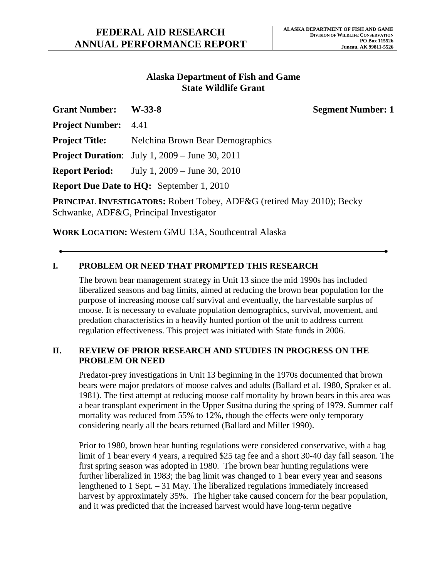### **Alaska Department of Fish and Game State Wildlife Grant**

| <b>Grant Number:</b>        | $W-33-8$                                                                             | <b>Segment Number: 1</b> |
|-----------------------------|--------------------------------------------------------------------------------------|--------------------------|
| <b>Project Number:</b> 4.41 |                                                                                      |                          |
| <b>Project Title:</b>       | Nelchina Brown Bear Demographics                                                     |                          |
|                             | <b>Project Duration:</b> July 1, $2009 - \text{June } 30, 2011$                      |                          |
|                             | <b>Report Period:</b> July 1, 2009 – June 30, 2010                                   |                          |
|                             | <b>Report Due Date to HQ:</b> September 1, 2010                                      |                          |
|                             | <b>DEDITIONAL INVESTIGATORS, Dobort Toboy, ADERC</b> (ratived $M_{0V}$ 2010), Dooley |                          |

**PRINCIPAL INVESTIGATORS:** Robert Tobey, ADF&G (retired May 2010); Becky Schwanke, ADF&G, Principal Investigator

**WORK LOCATION:** Western GMU 13A, Southcentral Alaska

# **I. PROBLEM OR NEED THAT PROMPTED THIS RESEARCH**

The brown bear management strategy in Unit 13 since the mid 1990s has included liberalized seasons and bag limits, aimed at reducing the brown bear population for the purpose of increasing moose calf survival and eventually, the harvestable surplus of moose. It is necessary to evaluate population demographics, survival, movement, and predation characteristics in a heavily hunted portion of the unit to address current regulation effectiveness. This project was initiated with State funds in 2006.

#### **II. REVIEW OF PRIOR RESEARCH AND STUDIES IN PROGRESS ON THE PROBLEM OR NEED**

Predator-prey investigations in Unit 13 beginning in the 1970s documented that brown bears were major predators of moose calves and adults (Ballard et al. 1980, Spraker et al. 1981). The first attempt at reducing moose calf mortality by brown bears in this area was a bear transplant experiment in the Upper Susitna during the spring of 1979. Summer calf mortality was reduced from 55% to 12%, though the effects were only temporary considering nearly all the bears returned (Ballard and Miller 1990).

Prior to 1980, brown bear hunting regulations were considered conservative, with a bag limit of 1 bear every 4 years, a required \$25 tag fee and a short 30-40 day fall season. The first spring season was adopted in 1980. The brown bear hunting regulations were further liberalized in 1983; the bag limit was changed to 1 bear every year and seasons lengthened to 1 Sept. – 31 May. The liberalized regulations immediately increased harvest by approximately 35%. The higher take caused concern for the bear population, and it was predicted that the increased harvest would have long-term negative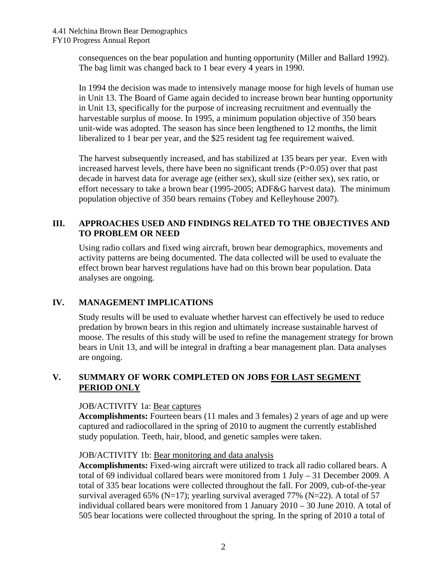consequences on the bear population and hunting opportunity (Miller and Ballard 1992). The bag limit was changed back to 1 bear every 4 years in 1990.

In 1994 the decision was made to intensively manage moose for high levels of human use in Unit 13. The Board of Game again decided to increase brown bear hunting opportunity in Unit 13, specifically for the purpose of increasing recruitment and eventually the harvestable surplus of moose. In 1995, a minimum population objective of 350 bears unit-wide was adopted. The season has since been lengthened to 12 months, the limit liberalized to 1 bear per year, and the \$25 resident tag fee requirement waived.

The harvest subsequently increased, and has stabilized at 135 bears per year. Even with increased harvest levels, there have been no significant trends (P>0.05) over that past decade in harvest data for average age (either sex), skull size (either sex), sex ratio, or effort necessary to take a brown bear (1995-2005; ADF&G harvest data). The minimum population objective of 350 bears remains (Tobey and Kelleyhouse 2007).

# **III. APPROACHES USED AND FINDINGS RELATED TO THE OBJECTIVES AND TO PROBLEM OR NEED**

Using radio collars and fixed wing aircraft, brown bear demographics, movements and activity patterns are being documented. The data collected will be used to evaluate the effect brown bear harvest regulations have had on this brown bear population. Data analyses are ongoing.

# **IV. MANAGEMENT IMPLICATIONS**

Study results will be used to evaluate whether harvest can effectively be used to reduce predation by brown bears in this region and ultimately increase sustainable harvest of moose. The results of this study will be used to refine the management strategy for brown bears in Unit 13, and will be integral in drafting a bear management plan. Data analyses are ongoing.

### **V. SUMMARY OF WORK COMPLETED ON JOBS FOR LAST SEGMENT PERIOD ONLY**

### JOB/ACTIVITY 1a: Bear captures

**Accomplishments:** Fourteen bears (11 males and 3 females) 2 years of age and up were captured and radiocollared in the spring of 2010 to augment the currently established study population. Teeth, hair, blood, and genetic samples were taken.

#### JOB/ACTIVITY 1b: Bear monitoring and data analysis

**Accomplishments:** Fixed-wing aircraft were utilized to track all radio collared bears. A total of 69 individual collared bears were monitored from 1 July – 31 December 2009. A total of 335 bear locations were collected throughout the fall. For 2009, cub-of-the-year survival averaged 65% (N=17); yearling survival averaged 77% (N=22). A total of 57 individual collared bears were monitored from 1 January 2010 – 30 June 2010. A total of 505 bear locations were collected throughout the spring. In the spring of 2010 a total of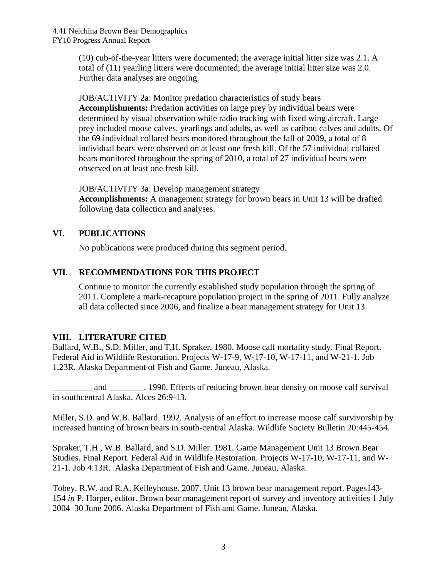(10) cub-of-the-year litters were documented; the average initial litter size was 2.1. A total of (11) yearling litters were documented; the average initial litter size was 2.0. Further data analyses are ongoing.

#### JOB/ACTIVITY 2a: Monitor predation characteristics of study bears

**Accomplishments:** Predation activities on large prey by individual bears were determined by visual observation while radio tracking with fixed wing aircraft. Large prey included moose calves, yearlings and adults, as well as caribou calves and adults. Of the 69 individual collared bears monitored throughout the fall of 2009, a total of 8 individual bears were observed on at least one fresh kill. Of the 57 individual collared bears monitored throughout the spring of 2010, a total of 27 individual bears were observed on at least one fresh kill.

JOB/ACTIVITY 3a: Develop management strategy

**Accomplishments:** A management strategy for brown bears in Unit 13 will be drafted following data collection and analyses.

# **VI. PUBLICATIONS**

No publications were produced during this segment period.

### **VII. RECOMMENDATIONS FOR THIS PROJECT**

Continue to monitor the currently established study population through the spring of 2011. Complete a mark-recapture population project in the spring of 2011. Fully analyze all data collected since 2006, and finalize a bear management strategy for Unit 13.

### **VIII. LITERATURE CITED**

Ballard, W.B., S.D. Miller, and T.H. Spraker. 1980. Moose calf mortality study. Final Report. Federal Aid in Wildlife Restoration. Projects W-17-9, W-17-10, W-17-11, and W-21-1. Job 1.23R. Alaska Department of Fish and Game. Juneau, Alaska.

and 1990. Effects of reducing brown bear density on moose calf survival in southcentral Alaska. Alces 26:9-13.

Miller, S.D. and W.B. Ballard. 1992. Analysis of an effort to increase moose calf survivorship by increased hunting of brown bears in south-central Alaska. Wildlife Society Bulletin 20:445-454.

Spraker, T.H., W.B. Ballard, and S.D. Miller. 1981. Game Management Unit 13 Brown Bear Studies. Final Report. Federal Aid in Wildlife Restoration. Projects W-17-10, W-17-11, and W-21-1. Job 4.13R. .Alaska Department of Fish and Game. Juneau, Alaska.

Tobey, R.W. and R.A. Kelleyhouse. 2007. Unit 13 brown bear management report. Pages143- 154 *in* P. Harper, editor. Brown bear management report of survey and inventory activities 1 July 2004–30 June 2006. Alaska Department of Fish and Game. Juneau, Alaska.